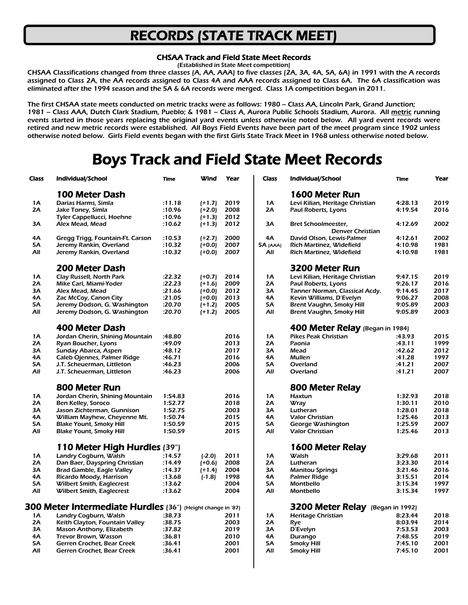## RECORDS (STATE TRACK MEET)

#### CHSAA Track and Field State Meet Records

(Established in State Meet competition)

CHSAA Classifications changed from three classes (A, AA, AAA) to five classes (2A, 3A, 4A, 5A, 6A) in 1991 with the A records assigned to Class 2A, the AA records assigned to Class 4A and AAA records assigned to Class 6A. The 6A classification was eliminated after the 1994 season and the 5A & 6A records were merged. Class 1A competition began in 2011.

The first CHSAA state meets conducted on metric tracks were as follows: 1980 – Class AA, Lincoln Park, Grand Junction; 1981 - Class AAA, Dutch Clark Stadium, Pueblo; & 1981 - Class A, Aurora Public Schools Stadium, Aurora. All metric running events started in those years replacing the original yard events unless otherwise noted below. All yard event records were retired and new metric records were established. All Boys Field Events have been part of the meet program since 1902 unless otherwise noted below. Girls Field events began with the first Girls State Track Meet in 1968 unless otherwise noted below.

# Boys Track and Field State Meet Records

| <b>CIASS</b> | <b>Individual</b> /School                                   | Time             | wina        | <u>rear</u>  | ciass     | inaiviauai/scnool                | Time             | rear         |
|--------------|-------------------------------------------------------------|------------------|-------------|--------------|-----------|----------------------------------|------------------|--------------|
|              | 100 Meter Dash                                              |                  |             |              |           | 1600 Meter Run                   |                  |              |
| 1Α           | Darias Harms, Simla                                         | :11.18           | $(+1.7)$    | 2019         | 1A        | Levi Kilian, Heritage Christian  | 4:28.13          | 2019         |
| <b>2A</b>    | Jake Toney, Simla                                           | :10.96           | $(+2.0)$    | 2008         | 2A        | Paul Roberts, Lyons              | 4:19.54          | 2016         |
|              | <b>Tyler Cappellucci, Hoehne</b>                            | :10.96           | $(+1.3)$    | 2012         |           |                                  |                  |              |
| 3А           | Alex Mead, Mead                                             | :10.62           | $(+1.3)$    | 2012         | 3A        | Bret Schoolmeester,              | 4:12.69          | 2002         |
|              |                                                             |                  |             |              |           | <b>Denver Christian</b>          |                  |              |
| 4Α           | Gregg Trigg, Fountain-Ft. Carson                            | :10.53           | $(+2.7)$    | 2000         | 4A        | David Olson, Lewis-Palmer        | 4:12.61          | 2002         |
| <b>5A</b>    | Jeremy Rankin, Overland                                     | :10.32           | $(+0.0)$    | 2007         | 5A (AAA)  | Rich Martinez, Widefield         | 4:10.98          | 1981         |
| All          | Jeremy Rankin, Overland                                     | :10.32           | $(+0.0)$    | 2007         | All       | Rich Martinez, Widefield         | 4:10.98          | 1981         |
|              | 200 Meter Dash                                              |                  |             |              |           | 3200 Meter Run                   |                  |              |
| 1A           | Clay Russell, North Park                                    | :22.32           | $(+0.7)$    | 2014         | 1A        | Levi Kilian, Heritage Christian  | 9:47.15          | 2019         |
| 2A           | Mike Carl, Miami-Yoder                                      | :22.23           | $(+1.6)$    | 2009         | 2A        | Paul Roberts, Lyons              | 9:26.17          | 2016         |
| 3A           | Alex Mead, Mead                                             | :21.66           | $(+0.0)$    | 2012         | 3A        | Tanner Norman, Classical Acdy.   | 9:14.45          | 2017         |
| 4A           | Zac McCoy, Canon City                                       | :21.05           | $(+0.0)$    | 2013         | 4Α        | Kevin Williams, D'Evelyn         | 9:06.27          | 2008         |
| <b>5A</b>    | Jeremy Dodson, G. Washington                                | :20.70           | $(+1.2)$    | 2005         | <b>5A</b> | <b>Brent Vaughn, Smoky Hill</b>  | 9:05.89          | 2003         |
| All          | Jeremy Dodson, G. Washington                                | :20.70           | $(+1.2)$    | 2005         | All       | <b>Brent Vaughn, Smoky Hill</b>  | 9:05.89          | 2003         |
|              | 400 Meter Dash                                              |                  |             |              |           | 400 Meter Relay (Began in 1984)  |                  |              |
| 1A           | Jordan Cherin, Shining Mountain                             | :48.80           |             | 2016         | 1A        | <b>Pikes Peak Christian</b>      | :43.93           | 2015         |
| 2A           | Ryan Boucher, Lyons                                         | :49.09           |             | 2013         | <b>2A</b> | Paonia                           | :43.11           | 1999         |
| 3A           |                                                             |                  |             |              | 3A        |                                  |                  |              |
| 4Α           | Sunday Abarca, Aspen                                        | :48.12           |             | 2017<br>2016 | 4A        | Mead<br><b>Mullen</b>            | :42.62           | 2012<br>1997 |
| <b>5A</b>    | Caleb Ojennes, Palmer Ridge                                 | :46.71<br>:46.23 |             | 2006         | <b>5A</b> |                                  | :41.28<br>:41.21 | 2007         |
| All          | J.T. Scheuerman, Littleton<br>J.T. Scheuerman, Littleton    | :46.23           |             | 2006         | All       | Overland<br>Overland             | :41.21           | 2007         |
|              | 800 Meter Run                                               |                  |             |              |           | 800 Meter Relay                  |                  |              |
| 1A           | Jordan Cherin, Shining Mountain                             | 1:54.83          |             | 2016         | 1A        | Haxtun                           | 1:32.93          | 2018         |
| 2A           | Ben Kelley, Soroco                                          | 1:52.77          |             | 2018         | 2A        | <b>Wray</b>                      | 1:30.11          | 2010         |
| 3A           | Jason Zichterman, Gunnison                                  | 1:52.75          |             | 2003         | ЗΑ        | Lutheran                         | 1:28.01          | 2018         |
| 4Α           | William Mayhew, Cheyenne Mt.                                | 1:50.74          |             | 2015         | 4A        | <b>Valor Christian</b>           | 1:25.46          | 2013         |
| <b>5A</b>    | <b>Blake Yount, Smoky Hill</b>                              | 1:50.59          |             | 2015         | <b>5A</b> | George Washington                | 1:25.59          | 2007         |
| All          | <b>Blake Yount, Smoky Hill</b>                              | 1:50.59          |             | 2015         | All       | <b>Valor Christian</b>           | 1:25.46          | 2013         |
|              | 110 Meter High Hurdles (39")                                |                  |             |              |           | 1600 Meter Relay                 |                  |              |
|              |                                                             |                  |             |              |           |                                  |                  |              |
| 1A           | Landry Cogburn, Walsh                                       | :14.57           | $(-2.0)$    | 2011         | 1A        | Walsh                            | 3:29.68          | 2011         |
| 2A           | Dan Baer, Dayspring Christian                               | :14.49           | $(1 + 0.6)$ | 2008         | 2A        | Lutheran                         | 3:23.30          | 2014         |
| 3A           | Brad Gamble, Eagle Valley                                   | :14.37           | $(+1.4)$    | 2004         | 3A        | <b>Manitou Springs</b>           | 3:21.46          | 2016         |
| 4Α           | Ricardo Moody, Harrison                                     | :13.68           | $(-1.8)$    | 1998         | 4A        | <b>Palmer Ridge</b>              | 3:15.51          | 2014         |
| <b>5A</b>    | Wilbert Smith, Eaglecrest                                   | :13.62           |             | 2004         | <b>5A</b> | Montbello                        | 3:15.34          | 1997         |
| All          | Wilbert Smith, Eaglecrest                                   | :13.62           |             | 2004         | All       | <b>Montbello</b>                 | 3:15.34          | 1997         |
|              | 300 Meter Intermediate Hurdles (36") (Height change in '87) |                  |             |              |           | 3200 Meter Relay (Began in 1992) |                  |              |
| 1A           | Landry Cogburn, Walsh                                       | :38.73           |             | 2011         | 1A        | <b>Heritage Christian</b>        | 8:23.44          | 2018         |
| 2A           | Keith Clayton, Fountain Valley                              | :38.75           |             | 2003         | 2Α        | Rve                              | 8:03.94          | 2014         |
| 3A           | Mason Anthony, Elizabeth                                    | :37.82           |             | 2019         | 3A        | D'Evelyn                         | 7:53.53          | 2003         |
| 4Α           | Trevor Brown, Wasson                                        | :36.81           |             | 2010         | 4A        | Durango                          | 7:48.55          | 2019         |
| <b>5A</b>    | Gerren Crochet, Bear Creek                                  | :36.41           |             | 2001         | <b>5A</b> | <b>Smoky Hill</b>                | 7:45.10          | 2001         |
| All          | Gerren Crochet, Bear Creek                                  | :36.41           |             | 2001         | All       | <b>Smoky Hill</b>                | 7:45.10          | 2001         |

| Class                                                      | Individual/School                   | <b>Time</b> | Wind      | Year | <b>Class</b> | Individual/School                              | <b>Time</b> | Year |
|------------------------------------------------------------|-------------------------------------|-------------|-----------|------|--------------|------------------------------------------------|-------------|------|
|                                                            | 100 Meter Dash                      |             |           |      |              | 1600 Meter Run                                 |             |      |
| 1A                                                         | Darias Harms, Simla                 | :11.18      | $(+1.7)$  | 2019 | 1A           | Levi Kilian, Heritage Christian                | 4:28.13     | 2019 |
| 2A                                                         | Jake Toney, Simla                   | :10.96      | $(+2.0)$  | 2008 | 2A           | Paul Roberts, Lyons                            | 4:19.54     | 2016 |
|                                                            | <b>Tyler Cappellucci, Hoehne</b>    | :10.96      | $(+1.3)$  | 2012 |              |                                                |             |      |
| 3A                                                         | Alex Mead, Mead                     | :10.62      | $(+1.3)$  | 2012 | ЗΑ           | Bret Schoolmeester,<br><b>Denver Christian</b> | 4:12.69     | 2002 |
| 4A                                                         | Gregg Trigg, Fountain-Ft. Carson    | :10.53      | $(+2.7)$  | 2000 | 4A           | David Olson, Lewis-Palmer                      | 4:12.61     | 2002 |
| <b>5A</b>                                                  | Jeremy Rankin, Overland             | :10.32      | $(+0.0)$  | 2007 | 5A (AAA)     | Rich Martinez, Widefield                       | 4:10.98     | 1981 |
| All                                                        | Jeremy Rankin, Overland             | :10.32      | $(+0.0)$  | 2007 | All          | Rich Martinez, Widefield                       | 4:10.98     | 1981 |
|                                                            | 200 Meter Dash                      |             |           |      |              | 3200 Meter Run                                 |             |      |
| 1A                                                         | <b>Clay Russell, North Park</b>     | :22.32      | $(+0.7)$  | 2014 | 1A           | Levi Kilian, Heritage Christian                | 9:47.15     | 2019 |
| 2A                                                         | Mike Carl, Miami-Yoder              | :22.23      | $(+1.6)$  | 2009 | 2A           | Paul Roberts, Lyons                            | 9:26.17     | 2016 |
| 3A                                                         | Alex Mead, Mead                     | :21.66      | $(+0.0)$  | 2012 | 3A           | Tanner Norman, Classical Acdy.                 | 9:14.45     | 2017 |
| 4A                                                         | Zac McCoy, Canon City               | :21.05      | $(+0.0)$  | 2013 | 4A           | Kevin Williams, D'Evelyn                       | 9:06.27     | 2008 |
| <b>5A</b>                                                  | Jeremy Dodson, G. Washington        | :20.70      | $(+1.2)$  | 2005 | <b>5A</b>    | <b>Brent Vaughn, Smoky Hill</b>                | 9:05.89     | 2003 |
| All                                                        | Jeremy Dodson, G. Washington        | :20.70      | $(+1.2)$  | 2005 | All          | <b>Brent Vaughn, Smoky Hill</b>                | 9:05.89     | 2003 |
|                                                            | 400 Meter Dash                      |             |           |      |              | 400 Meter Relay (Began in 1984)                |             |      |
| 1A                                                         | Jordan Cherin, Shining Mountain     | :48.80      |           | 2016 | 1A           | <b>Pikes Peak Christian</b>                    | :43.93      | 2015 |
| 2A                                                         | Ryan Boucher, Lyons                 | :49.09      |           | 2013 | 2A           | Paonia                                         | :43.11      | 1999 |
| 3A                                                         | Sunday Abarca, Aspen                | :48.12      |           | 2017 | 3A           | Mead                                           | :42.62      | 2012 |
| 4A                                                         | Caleb Ojennes, Palmer Ridge         | :46.71      |           | 2016 | 4Α           | <b>Mullen</b>                                  | :41.28      | 1997 |
| <b>5A</b>                                                  | J.T. Scheuerman, Littleton          | :46.23      |           | 2006 | <b>5A</b>    | Overland                                       | :41.21      | 2007 |
| All                                                        | J.T. Scheuerman, Littleton          | :46.23      |           | 2006 | All          | Overland                                       | :41.21      | 2007 |
|                                                            | 800 Meter Run                       |             |           |      |              | 800 Meter Relay                                |             |      |
| 1A                                                         | Jordan Cherin, Shining Mountain     | 1:54.83     |           | 2016 | 1A           | Haxtun                                         | 1:32.93     | 2018 |
| 2A                                                         | Ben Kelley, Soroco                  | 1:52.77     |           | 2018 | 2A           | <b>Wray</b>                                    | 1:30.11     | 2010 |
| 3A                                                         | Jason Zichterman, Gunnison          | 1:52.75     |           | 2003 | 3A           | Lutheran                                       | 1:28.01     | 2018 |
| 4A                                                         | William Mayhew, Cheyenne Mt.        | 1:50.74     |           | 2015 | 4Α           | <b>Valor Christian</b>                         | 1:25.46     | 2013 |
| <b>5A</b>                                                  | <b>Blake Yount, Smoky Hill</b>      | 1:50.59     |           | 2015 | <b>5A</b>    | George Washington                              | 1:25.59     | 2007 |
| All                                                        | <b>Blake Yount, Smoky Hill</b>      | 1:50.59     |           | 2015 | All          | <b>Valor Christian</b>                         | 1:25.46     | 2013 |
|                                                            | <b>110 Meter High Hurdles</b> (39") |             |           |      |              | 1600 Meter Relay                               |             |      |
| 1A                                                         | Landry Cogburn, Walsh               | :14.57      | $(-2.0)$  | 2011 | 1A           | Walsh                                          | 3:29.68     | 2011 |
| 2A                                                         | Dan Baer, Dayspring Christian       | :14.49      | $( +0.6)$ | 2008 | 2A           | Lutheran                                       | 3:23.30     | 2014 |
| 3А                                                         | <b>Brad Gamble, Eagle Valley</b>    | :14.37      | $(+1.4)$  | 2004 | 3A           | <b>Manitou Springs</b>                         | 3:21.46     | 2016 |
| 4A                                                         | Ricardo Moody, Harrison             | :13.68      | $(-1.8)$  | 1998 | 4Α           | <b>Palmer Ridge</b>                            | 3:15.51     | 2014 |
| <b>5A</b>                                                  | Wilbert Smith, Eaglecrest           | :13.62      |           | 2004 | <b>5A</b>    | <b>Montbello</b>                               | 3:15.34     | 1997 |
| All                                                        | Wilbert Smith, Eaglecrest           | :13.62      |           | 2004 | All          | Montbello                                      | 3:15.34     | 1997 |
| 00 Meter Intermediate Hurdles (36") (Height change in '87) |                                     |             |           |      |              | 3200 Meter Relay (Began in 1992)               |             |      |
| 1A                                                         | Landry Cogburn, Walsh               | :38.73      |           | 2011 | 1A           | <b>Heritage Christian</b>                      | 8:23.44     | 2018 |
| 2A                                                         | Keith Clayton, Fountain Valley      | :38.75      |           | 2003 | 2A           | Rve                                            | 8:03.94     | 2014 |
| 3А                                                         | Mason Anthony, Elizabeth            | :37.82      |           | 2019 | 3A           | D'Evelyn                                       | 7:53.53     | 2003 |
| 4A                                                         | Trevor Brown, Wasson                | :36.81      |           | 2010 | 4Α           | Durango                                        | 7:48.55     | 2019 |
| <b>5A</b>                                                  | Gerren Crochet, Bear Creek          | :36.41      |           | 2001 | 5A           | <b>Smoky Hill</b>                              | 7:45.10     | 2001 |
| All                                                        | Gerren Crochet, Bear Creek          | :36.41      |           | 2001 | All          | <b>Smoky Hill</b>                              | 7:45.10     | 2001 |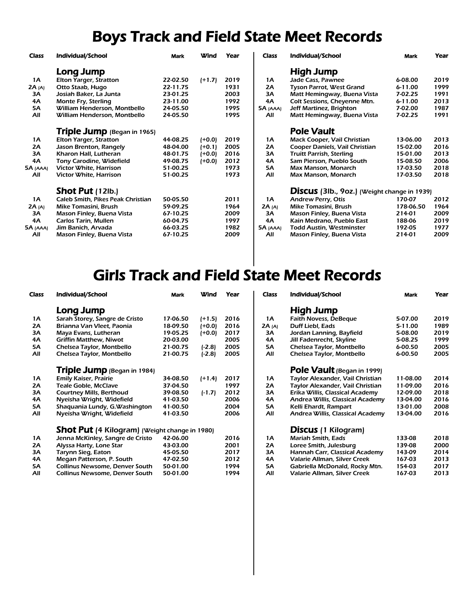# Boys Track and Field State Meet Records

| <b>Class</b> | Individual/School                 | <b>Mark</b> | <b>Wind</b> | Year | <b>Class</b> | Individual/School                                  | <b>Mark</b> | Year |
|--------------|-----------------------------------|-------------|-------------|------|--------------|----------------------------------------------------|-------------|------|
|              | Long Jump                         |             |             |      |              | High Jump                                          |             |      |
| 1A           | Elton Yarger, Stratton            | 22-02.50    | $(+1.7)$    | 2019 | 1A           | Jade Cass, Pawnee                                  | $6 - 08.00$ | 2019 |
| 2A(A)        | Otto Staab, Hugo                  | 22-11.75    |             | 1931 | 2A           | <b>Tyson Parrot, West Grand</b>                    | $6 - 11.00$ | 1999 |
| 3A           | Josiah Baker, La Junta            | 23-01.25    |             | 2003 | 3A           | Matt Hemingway, Buena Vista                        | $7 - 02.25$ | 1991 |
| 4Α           | Monte Fry, Sterling               | 23-11.00    |             | 1992 | 4A           | Colt Sessions, Cheyenne Mtn.                       | $6 - 11.00$ | 2013 |
| 5A           | William Henderson, Montbello      | 24-05.50    |             | 1995 | 5A (AAA)     | Jeff Martinez, Brighton                            | 7-02.00     | 1987 |
| All          | William Henderson, Montbello      | 24-05.50    |             | 1995 | All          | Matt Hemingway, Buena Vista                        | $7 - 02.25$ | 1991 |
|              | Triple Jump (Began in 1965)       |             |             |      |              | <b>Pole Vault</b>                                  |             |      |
| 1A           | Elton Yarger, Stratton            | 44-08.25    | (+0.0)      | 2019 | 1A           | Mack Cooper, Vail Christian                        | 13-06.00    | 2013 |
| 2A           | Jason Brenton, Rangely            | 48-04.00    | (+0.1)      | 2005 | 2A           | Cooper Daniels, Vail Christian                     | 15-02.00    | 2016 |
| 3A           | Kharon Hall, Lutheran             | 48-01.75    | (+0.0)      | 2016 | ЗΑ           | <b>Truitt Parrish, Sterling</b>                    | 15-01.00    | 2013 |
| 4A           | <b>Tony Carodine, Widefield</b>   | 49-08.75    | $(+0.0)$    | 2012 | 4A           | Sam Pierson, Pueblo South                          | 15-08.50    | 2006 |
| 5A (AAA)     | Victor White, Harrison            | 51-00.25    |             | 1973 | <b>5A</b>    | Max Manson, Monarch                                | 17-03.50    | 2018 |
| All          | Victor White, Harrison            | 51-00.25    |             | 1973 | All          | Max Manson, Monarch                                | 17-03.50    | 2018 |
|              | <b>Shot Put</b> $(12lb.)$         |             |             |      |              | <b>Discus</b> (3lb., 9oz.) (Weight change in 1939) |             |      |
| 1A           | Caleb Smith, Pikes Peak Christian | 50-05.50    |             | 2011 | 1A           | <b>Andrew Perry, Otis</b>                          | 170-07      | 2012 |
| 2A(A)        | Mike Tomasini, Brush              | 59-09.25    |             | 1964 | 2A(A)        | Mike Tomasini, Brush                               | 178-06.50   | 1964 |
| 3A           | Mason Finley, Buena Vista         | 67-10.25    |             | 2009 | ЗΑ           | Mason Finley, Buena Vista                          | 214-01      | 2009 |
| 4A           | <b>Carlos Tarin, Mullen</b>       | 60-04.75    |             | 1997 | 4A           | Kain Medrano, Pueblo East                          | 188-06      | 2019 |
| 5A (AAA)     | Jim Banich, Arvada                | 66-03.25    |             | 1982 | $5A$ (AAA)   | <b>Todd Austin, Westminster</b>                    | 192-05      | 1977 |
| All          | Mason Finley, Buena Vista         | 67-10.25    |             | 2009 | All          | Mason Finley, Buena Vista                          | 214-01      | 2009 |

## Girls Track and Field State Meet Records

| Class     | Individual/School                                    | <b>Mark</b> | Wind     | Year | Class     | Individual/School                | <b>Mark</b> | Year |
|-----------|------------------------------------------------------|-------------|----------|------|-----------|----------------------------------|-------------|------|
|           | Long Jump                                            |             |          |      |           | High Jump                        |             |      |
| 1A        | Sarah Storey, Sangre de Cristo                       | 17-06.50    | $(+1.5)$ | 2016 | 1A        | <b>Faith Novess, DeBeque</b>     | 5-07.00     | 2019 |
| 2A        | Brianna Van Vleet, Paonia                            | 18-09.50    | $(+0.0)$ | 2016 | 2A(A)     | Duff Liebl, Eads                 | 5-11.00     | 1989 |
| 3A        | Maya Evans, Lutheran                                 | 19-05.25    | (+0.0)   | 2017 | 3А        | Jordan Lanning, Bayfield         | 5-08.00     | 2019 |
| 4Α        | <b>Griffin Matthew, Niwot</b>                        | 20-03.00    |          | 2005 | 4A        | Jill Fadenrecht, Skyline         | 5-08.25     | 1999 |
| <b>5A</b> | Chelsea Taylor, Montbello                            | 21-00.75    | $(-2.8)$ | 2005 | <b>5A</b> | Chelsea Taylor, Montbello        | 6-00.50     | 2005 |
| All       | Chelsea Taylor, Montbello                            | 21-00.75    | $(-2.8)$ | 2005 | All       | Chelsea Taylor, Montbello        | 6-00.50     | 2005 |
|           | <b>Triple Jump</b> (Began in 1984)                   |             |          |      |           | Pole Vault (Began in 1999)       |             |      |
| 1A        | <b>Emily Kaiser, Prairie</b>                         | 34-08.50    | $(+1.4)$ | 2017 | 1A        | Taylor Alexander, Vail Christian | 11-08.00    | 2014 |
| 2A        | <b>Teale Goble, McClave</b>                          | 37-04.50    |          | 1997 | 2A        | Taylor Alexander, Vail Christian | 11-09.00    | 2016 |
| 3A        | <b>Courtney Mills, Berthoud</b>                      | 39-08.50    | $(-1.7)$ | 2012 | 3A        | Erika Willis, Classical Academy  | 12-09.00    | 2018 |
| 4Α        | Nyeisha Wright, Widefield                            | 41-03.50    |          | 2006 | 4Α        | Andrea Willis, Classical Academy | 13-04.00    | 2016 |
| <b>5A</b> | Shaquania Lundy, G.Washington                        | 41-00.50    |          | 2004 | 5А        | Kelli Ehardt, Rampart            | 13-01.00    | 2008 |
| All       | Nyeisha Wright, Widefield                            | 41-03.50    |          | 2006 | All       | Andrea Willis, Classical Academy | 13-04.00    | 2016 |
|           | <b>Shot Put</b> (4 Kilogram) (Weight change in 1980) |             |          |      |           | <b>Discus</b> (1 Kilogram)       |             |      |
| 1A        | Jenna McKinley, Sangre de Cristo                     | 42-06.00    |          | 2016 | 1A        | <b>Mariah Smith, Eads</b>        | 133-08      | 2018 |
| 2A        | Alyssa Harty, Lone Star                              | 43-03.00    |          | 2001 | 2Α        | Loree Smith, Julesburg           | 139-08      | 2000 |
| 3А        | Tarynn Sieg, Eaton                                   | 45-05.50    |          | 2017 | 3A        | Hannah Carr, Classical Academy   | 143-09      | 2014 |
| 4Α        | Megan Patterson, P. South                            | 47-02.50    |          | 2012 | 4A        | Valarie Allman, Silver Creek     | 167-03      | 2013 |
| 5A        | <b>Collinus Newsome, Denver South</b>                | 50-01.00    |          | 1994 | 5А        | Gabriella McDonald, Rocky Mtn.   | 154-03      | 2017 |
| All       | <b>Collinus Newsome, Denver South</b>                | 50-01.00    |          | 1994 | All       | Valarie Allman, Silver Creek     | 167-03      | 2013 |

| Class | Individual/School                | <b>Mark</b> | Year |
|-------|----------------------------------|-------------|------|
|       | High Jump                        |             |      |
| 1Α    | <b>Faith Novess, DeBeque</b>     | 5-07.00     | 2019 |
| 2A(A) | Duff Liebl, Eads                 | 5-11.00     | 1989 |
| 3A    | Jordan Lanning, Bayfield         | 5-08.00     | 2019 |
| 4A    | Jill Fadenrecht, Skyline         | 5-08.25     | 1999 |
| 5А    | Chelsea Taylor, Montbello        | 6-00.50     | 2005 |
| All   | Chelsea Taylor, Montbello        | 6-00.50     | 2005 |
|       | Pole Vault (Began in 1999)       |             |      |
| 1A    | Taylor Alexander, Vail Christian | 11-08.00    | 2014 |
| 2A    | Taylor Alexander, Vail Christian | 11-09.00    | 2016 |
| 3A    | Erika Willis, Classical Academy  | 12-09.00    | 2018 |
| 4A    | Andrea Willis, Classical Academy | 13-04.00    | 2016 |
| 5А    | Kelli Ehardt, Rampart            | 13-01.00    | 2008 |
| All   | Andrea Willis, Classical Academy | 13-04.00    | 2016 |
|       | <b>Discus</b> (1 Kilogram)       |             |      |
| 1Α    | <b>Mariah Smith, Eads</b>        | 133-08      | 2018 |
| 2A    | Loree Smith, Julesburg           | 139-08      | 2000 |
| 3A    | Hannah Carr, Classical Academy   | 143-09      | 2014 |
| 4A    | Valarie Allman, Silver Creek     | 167-03      | 2013 |
| 5А    | Gabriella McDonald, Rocky Mtn.   | 154-03      | 2017 |
| All   | Valarie Allman, Silver Creek     | 167-03      | 2013 |